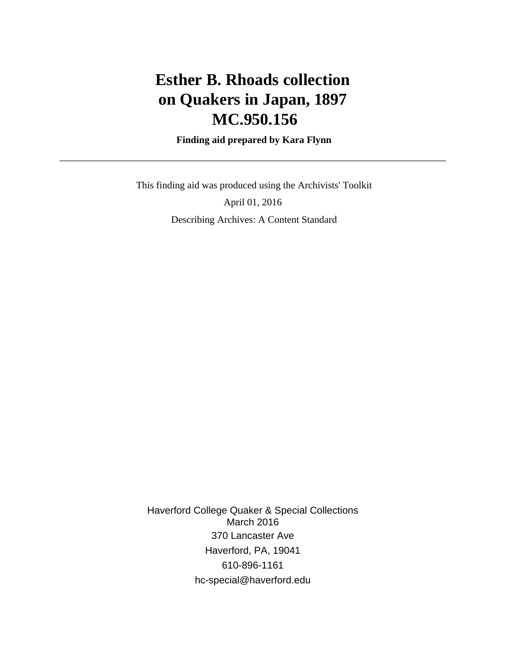# **Esther B. Rhoads collection on Quakers in Japan, 1897 MC.950.156**

 **Finding aid prepared by Kara Flynn**

 This finding aid was produced using the Archivists' Toolkit April 01, 2016 Describing Archives: A Content Standard

Haverford College Quaker & Special Collections March 2016 370 Lancaster Ave Haverford, PA, 19041 610-896-1161 hc-special@haverford.edu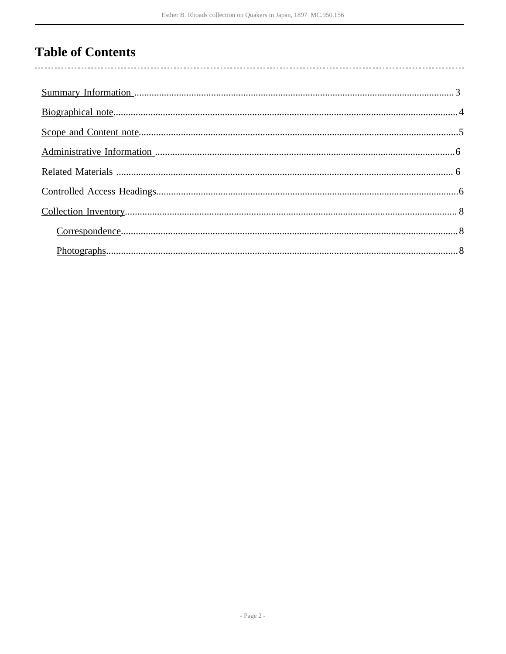# **Table of Contents**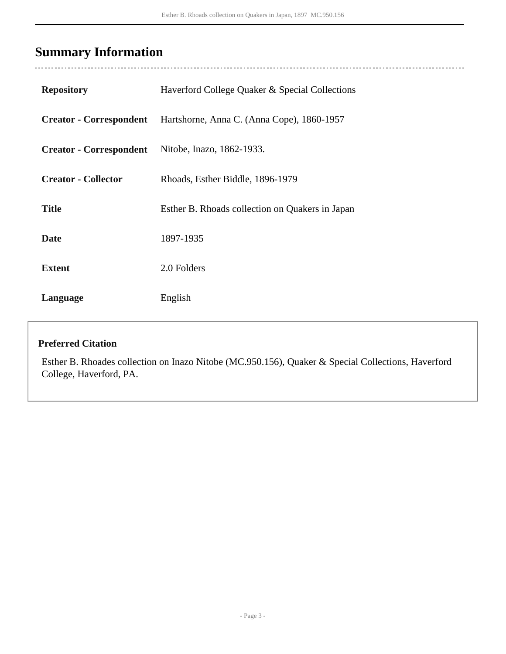# <span id="page-2-0"></span>**Summary Information**

 $\ddotsc$ 

| Haverford College Quaker & Special Collections  |
|-------------------------------------------------|
| Hartshorne, Anna C. (Anna Cope), 1860-1957      |
| Nitobe, Inazo, 1862-1933.                       |
| Rhoads, Esther Biddle, 1896-1979                |
| Esther B. Rhoads collection on Quakers in Japan |
| 1897-1935                                       |
| 2.0 Folders                                     |
| English                                         |
|                                                 |

### **Preferred Citation**

Esther B. Rhoades collection on Inazo Nitobe (MC.950.156), Quaker & Special Collections, Haverford College, Haverford, PA.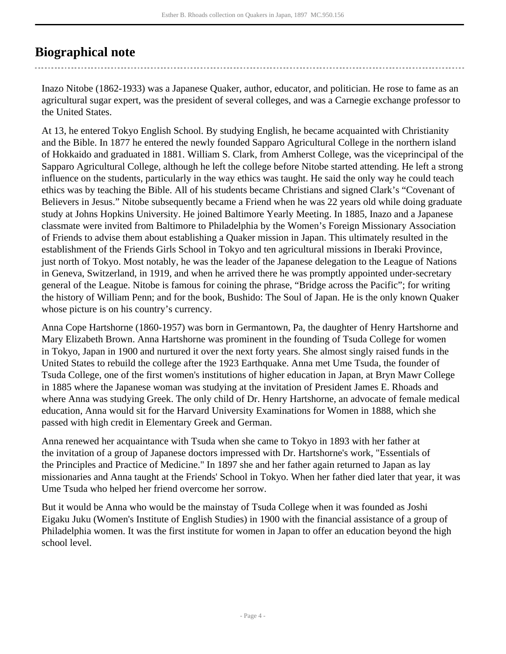## <span id="page-3-0"></span>**Biographical note**

Inazo Nitobe (1862-1933) was a Japanese Quaker, author, educator, and politician. He rose to fame as an agricultural sugar expert, was the president of several colleges, and was a Carnegie exchange professor to the United States.

At 13, he entered Tokyo English School. By studying English, he became acquainted with Christianity and the Bible. In 1877 he entered the newly founded Sapparo Agricultural College in the northern island of Hokkaido and graduated in 1881. William S. Clark, from Amherst College, was the viceprincipal of the Sapparo Agricultural College, although he left the college before Nitobe started attending. He left a strong influence on the students, particularly in the way ethics was taught. He said the only way he could teach ethics was by teaching the Bible. All of his students became Christians and signed Clark's "Covenant of Believers in Jesus." Nitobe subsequently became a Friend when he was 22 years old while doing graduate study at Johns Hopkins University. He joined Baltimore Yearly Meeting. In 1885, Inazo and a Japanese classmate were invited from Baltimore to Philadelphia by the Women's Foreign Missionary Association of Friends to advise them about establishing a Quaker mission in Japan. This ultimately resulted in the establishment of the Friends Girls School in Tokyo and ten agricultural missions in Iberaki Province, just north of Tokyo. Most notably, he was the leader of the Japanese delegation to the League of Nations in Geneva, Switzerland, in 1919, and when he arrived there he was promptly appointed under-secretary general of the League. Nitobe is famous for coining the phrase, "Bridge across the Pacific"; for writing the history of William Penn; and for the book, Bushido: The Soul of Japan. He is the only known Quaker whose picture is on his country's currency.

Anna Cope Hartshorne (1860-1957) was born in Germantown, Pa, the daughter of Henry Hartshorne and Mary Elizabeth Brown. Anna Hartshorne was prominent in the founding of Tsuda College for women in Tokyo, Japan in 1900 and nurtured it over the next forty years. She almost singly raised funds in the United States to rebuild the college after the 1923 Earthquake. Anna met Ume Tsuda, the founder of Tsuda College, one of the first women's institutions of higher education in Japan, at Bryn Mawr College in 1885 where the Japanese woman was studying at the invitation of President James E. Rhoads and where Anna was studying Greek. The only child of Dr. Henry Hartshorne, an advocate of female medical education, Anna would sit for the Harvard University Examinations for Women in 1888, which she passed with high credit in Elementary Greek and German.

Anna renewed her acquaintance with Tsuda when she came to Tokyo in 1893 with her father at the invitation of a group of Japanese doctors impressed with Dr. Hartshorne's work, "Essentials of the Principles and Practice of Medicine." In 1897 she and her father again returned to Japan as lay missionaries and Anna taught at the Friends' School in Tokyo. When her father died later that year, it was Ume Tsuda who helped her friend overcome her sorrow.

But it would be Anna who would be the mainstay of Tsuda College when it was founded as Joshi Eigaku Juku (Women's Institute of English Studies) in 1900 with the financial assistance of a group of Philadelphia women. It was the first institute for women in Japan to offer an education beyond the high school level.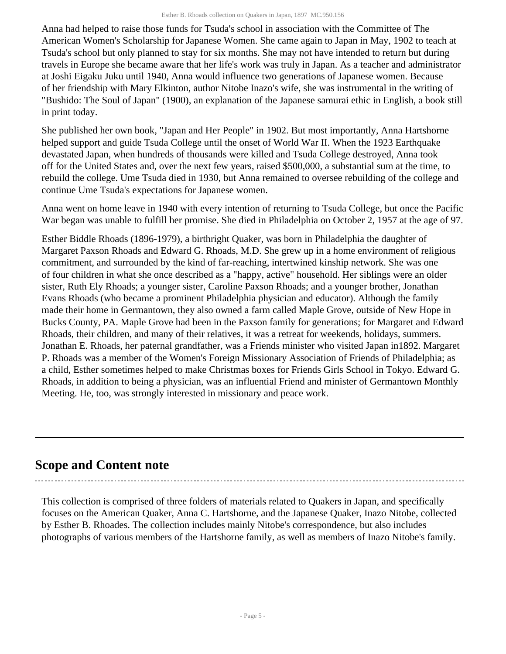Anna had helped to raise those funds for Tsuda's school in association with the Committee of The American Women's Scholarship for Japanese Women. She came again to Japan in May, 1902 to teach at Tsuda's school but only planned to stay for six months. She may not have intended to return but during travels in Europe she became aware that her life's work was truly in Japan. As a teacher and administrator at Joshi Eigaku Juku until 1940, Anna would influence two generations of Japanese women. Because of her friendship with Mary Elkinton, author Nitobe Inazo's wife, she was instrumental in the writing of "Bushido: The Soul of Japan" (1900), an explanation of the Japanese samurai ethic in English, a book still in print today.

She published her own book, "Japan and Her People" in 1902. But most importantly, Anna Hartshorne helped support and guide Tsuda College until the onset of World War II. When the 1923 Earthquake devastated Japan, when hundreds of thousands were killed and Tsuda College destroyed, Anna took off for the United States and, over the next few years, raised \$500,000, a substantial sum at the time, to rebuild the college. Ume Tsuda died in 1930, but Anna remained to oversee rebuilding of the college and continue Ume Tsuda's expectations for Japanese women.

Anna went on home leave in 1940 with every intention of returning to Tsuda College, but once the Pacific War began was unable to fulfill her promise. She died in Philadelphia on October 2, 1957 at the age of 97.

Esther Biddle Rhoads (1896-1979), a birthright Quaker, was born in Philadelphia the daughter of Margaret Paxson Rhoads and Edward G. Rhoads, M.D. She grew up in a home environment of religious commitment, and surrounded by the kind of far-reaching, intertwined kinship network. She was one of four children in what she once described as a "happy, active" household. Her siblings were an older sister, Ruth Ely Rhoads; a younger sister, Caroline Paxson Rhoads; and a younger brother, Jonathan Evans Rhoads (who became a prominent Philadelphia physician and educator). Although the family made their home in Germantown, they also owned a farm called Maple Grove, outside of New Hope in Bucks County, PA. Maple Grove had been in the Paxson family for generations; for Margaret and Edward Rhoads, their children, and many of their relatives, it was a retreat for weekends, holidays, summers. Jonathan E. Rhoads, her paternal grandfather, was a Friends minister who visited Japan in1892. Margaret P. Rhoads was a member of the Women's Foreign Missionary Association of Friends of Philadelphia; as a child, Esther sometimes helped to make Christmas boxes for Friends Girls School in Tokyo. Edward G. Rhoads, in addition to being a physician, was an influential Friend and minister of Germantown Monthly Meeting. He, too, was strongly interested in missionary and peace work.

### <span id="page-4-0"></span>**Scope and Content note**

This collection is comprised of three folders of materials related to Quakers in Japan, and specifically focuses on the American Quaker, Anna C. Hartshorne, and the Japanese Quaker, Inazo Nitobe, collected by Esther B. Rhoades. The collection includes mainly Nitobe's correspondence, but also includes photographs of various members of the Hartshorne family, as well as members of Inazo Nitobe's family.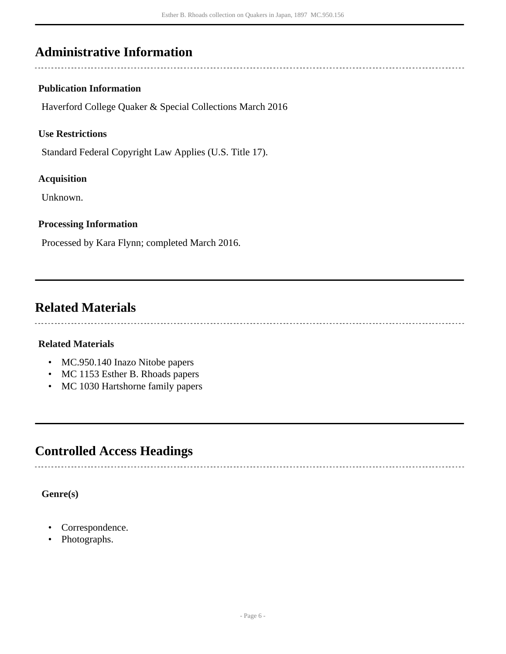### <span id="page-5-0"></span>**Administrative Information**

#### **Publication Information**

Haverford College Quaker & Special Collections March 2016

#### **Use Restrictions**

Standard Federal Copyright Law Applies (U.S. Title 17).

#### **Acquisition**

Unknown.

#### **Processing Information**

Processed by Kara Flynn; completed March 2016.

## <span id="page-5-1"></span>**Related Materials**

#### **Related Materials**

- MC.950.140 Inazo Nitobe papers
- MC 1153 Esther B. Rhoads papers
- MC 1030 Hartshorne family papers

## <span id="page-5-2"></span>**Controlled Access Headings**

**Genre(s)**

- Correspondence.
- Photographs.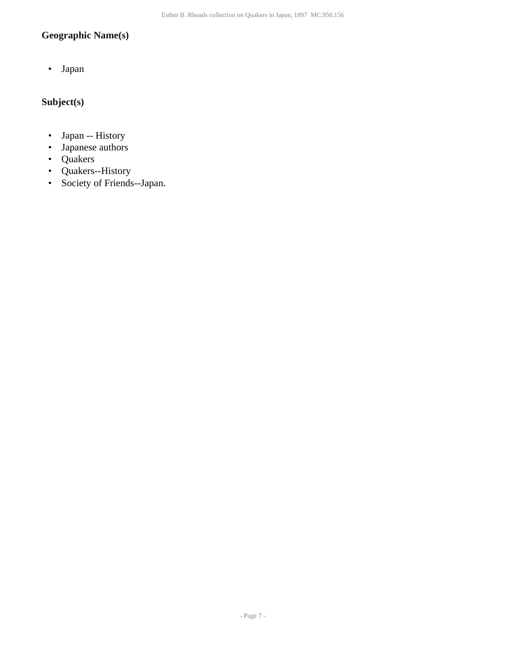### **Geographic Name(s)**

• Japan

### **Subject(s)**

- Japan -- History
- Japanese authors
- Quakers
- Quakers--History
- Society of Friends--Japan.